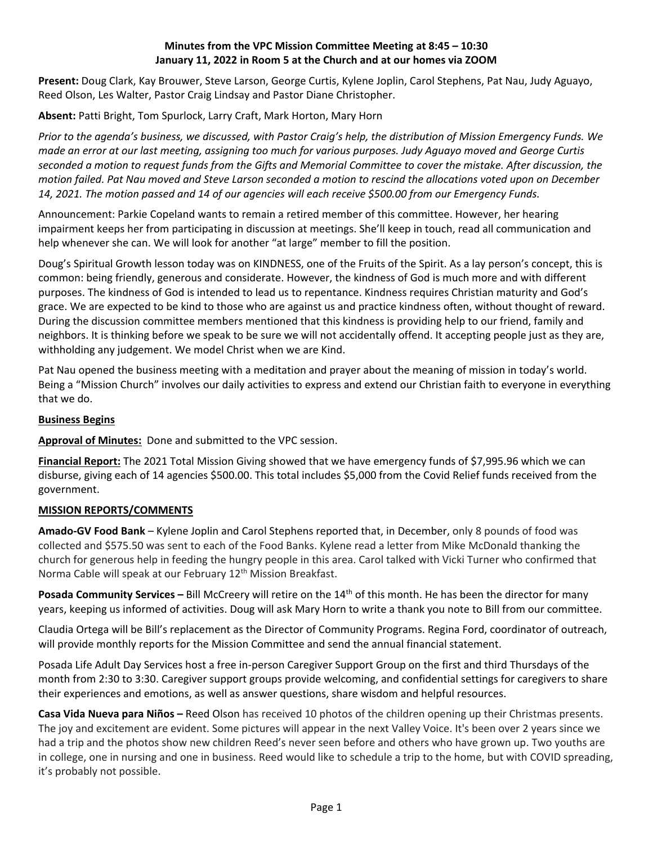# **Minutes from the VPC Mission Committee Meeting at 8:45 – 10:30 January 11, 2022 in Room 5 at the Church and at our homes via ZOOM**

**Present:** Doug Clark, Kay Brouwer, Steve Larson, George Curtis, Kylene Joplin, Carol Stephens, Pat Nau, Judy Aguayo, Reed Olson, Les Walter, Pastor Craig Lindsay and Pastor Diane Christopher.

**Absent:** Patti Bright, Tom Spurlock, Larry Craft, Mark Horton, Mary Horn

*Prior to the agenda's business, we discussed, with Pastor Craig's help, the distribution of Mission Emergency Funds. We made an error at our last meeting, assigning too much for various purposes. Judy Aguayo moved and George Curtis seconded a motion to request funds from the Gifts and Memorial Committee to cover the mistake. After discussion, the motion failed. Pat Nau moved and Steve Larson seconded a motion to rescind the allocations voted upon on December 14, 2021. The motion passed and 14 of our agencies will each receive \$500.00 from our Emergency Funds.*

Announcement: Parkie Copeland wants to remain a retired member of this committee. However, her hearing impairment keeps her from participating in discussion at meetings. She'll keep in touch, read all communication and help whenever she can. We will look for another "at large" member to fill the position.

Doug's Spiritual Growth lesson today was on KINDNESS, one of the Fruits of the Spirit. As a lay person's concept, this is common: being friendly, generous and considerate. However, the kindness of God is much more and with different purposes. The kindness of God is intended to lead us to repentance. Kindness requires Christian maturity and God's grace. We are expected to be kind to those who are against us and practice kindness often, without thought of reward. During the discussion committee members mentioned that this kindness is providing help to our friend, family and neighbors. It is thinking before we speak to be sure we will not accidentally offend. It accepting people just as they are, withholding any judgement. We model Christ when we are Kind.

Pat Nau opened the business meeting with a meditation and prayer about the meaning of mission in today's world. Being a "Mission Church" involves our daily activities to express and extend our Christian faith to everyone in everything that we do.

## **Business Begins**

**Approval of Minutes:** Done and submitted to the VPC session.

**Financial Report:** The 2021 Total Mission Giving showed that we have emergency funds of \$7,995.96 which we can disburse, giving each of 14 agencies \$500.00. This total includes \$5,000 from the Covid Relief funds received from the government.

### **MISSION REPORTS/COMMENTS**

**Amado-GV Food Bank** – Kylene Joplin and Carol Stephens reported that, in December, only 8 pounds of food was collected and \$575.50 was sent to each of the Food Banks. Kylene read a letter from Mike McDonald thanking the church for generous help in feeding the hungry people in this area. Carol talked with Vicki Turner who confirmed that Norma Cable will speak at our February 12<sup>th</sup> Mission Breakfast.

**Posada Community Services –** Bill McCreery will retire on the 14<sup>th</sup> of this month. He has been the director for many years, keeping us informed of activities. Doug will ask Mary Horn to write a thank you note to Bill from our committee.

Claudia Ortega will be Bill's replacement as the Director of Community Programs. Regina Ford, coordinator of outreach, will provide monthly reports for the Mission Committee and send the annual financial statement.

Posada Life Adult Day Services host a free in-person Caregiver Support Group on the first and third Thursdays of the month from 2:30 to 3:30. Caregiver support groups provide welcoming, and confidential settings for caregivers to share their experiences and emotions, as well as answer questions, share wisdom and helpful resources.

**Casa Vida Nueva para Niños –** Reed Olson has received 10 photos of the children opening up their Christmas presents. The joy and excitement are evident. Some pictures will appear in the next Valley Voice. It's been over 2 years since we had a trip and the photos show new children Reed's never seen before and others who have grown up. Two youths are in college, one in nursing and one in business. Reed would like to schedule a trip to the home, but with COVID spreading, it's probably not possible.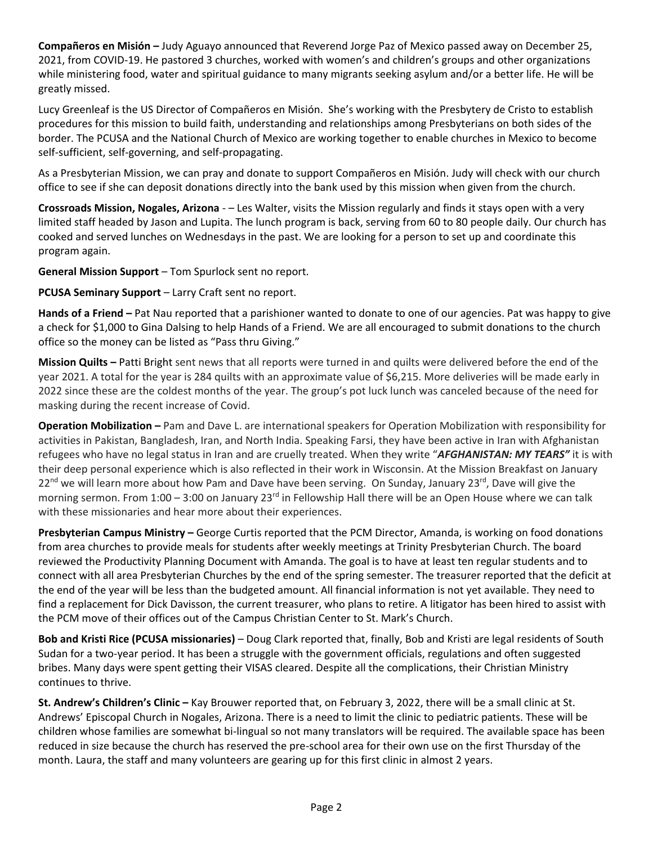**Compañeros en Misión –** Judy Aguayo announced that Reverend Jorge Paz of Mexico passed away on December 25, 2021, from COVID-19. He pastored 3 churches, worked with women's and children's groups and other organizations while ministering food, water and spiritual guidance to many migrants seeking asylum and/or a better life. He will be greatly missed.

Lucy Greenleaf is the US Director of Compañeros en Misión. She's working with the Presbytery de Cristo to establish procedures for this mission to build faith, understanding and relationships among Presbyterians on both sides of the border. The PCUSA and the National Church of Mexico are working together to enable churches in Mexico to become self-sufficient, self-governing, and self-propagating.

As a Presbyterian Mission, we can pray and donate to support Compañeros en Misión. Judy will check with our church office to see if she can deposit donations directly into the bank used by this mission when given from the church.

**Crossroads Mission, Nogales, Arizona** - – Les Walter, visits the Mission regularly and finds it stays open with a very limited staff headed by Jason and Lupita. The lunch program is back, serving from 60 to 80 people daily. Our church has cooked and served lunches on Wednesdays in the past. We are looking for a person to set up and coordinate this program again.

**General Mission Support** – Tom Spurlock sent no report.

**PCUSA Seminary Support** – Larry Craft sent no report.

**Hands of a Friend –** Pat Nau reported that a parishioner wanted to donate to one of our agencies. Pat was happy to give a check for \$1,000 to Gina Dalsing to help Hands of a Friend. We are all encouraged to submit donations to the church office so the money can be listed as "Pass thru Giving."

**Mission Quilts –** Patti Bright sent news that all reports were turned in and quilts were delivered before the end of the year 2021. A total for the year is 284 quilts with an approximate value of \$6,215. More deliveries will be made early in 2022 since these are the coldest months of the year. The group's pot luck lunch was canceled because of the need for masking during the recent increase of Covid.

**Operation Mobilization –** Pam and Dave L. are international speakers for Operation Mobilization with responsibility for activities in Pakistan, Bangladesh, Iran, and North India. Speaking Farsi, they have been active in Iran with Afghanistan refugees who have no legal status in Iran and are cruelly treated. When they write "*AFGHANISTAN: MY TEARS"* it is with their deep personal experience which is also reflected in their work in Wisconsin. At the Mission Breakfast on January 22<sup>nd</sup> we will learn more about how Pam and Dave have been serving. On Sunday, January 23<sup>rd</sup>, Dave will give the morning sermon. From 1:00 – 3:00 on January 23<sup>rd</sup> in Fellowship Hall there will be an Open House where we can talk with these missionaries and hear more about their experiences.

**Presbyterian Campus Ministry –** George Curtis reported that the PCM Director, Amanda, is working on food donations from area churches to provide meals for students after weekly meetings at Trinity Presbyterian Church. The board reviewed the Productivity Planning Document with Amanda. The goal is to have at least ten regular students and to connect with all area Presbyterian Churches by the end of the spring semester. The treasurer reported that the deficit at the end of the year will be less than the budgeted amount. All financial information is not yet available. They need to find a replacement for Dick Davisson, the current treasurer, who plans to retire. A litigator has been hired to assist with the PCM move of their offices out of the Campus Christian Center to St. Mark's Church.

**Bob and Kristi Rice (PCUSA missionaries)** – Doug Clark reported that, finally, Bob and Kristi are legal residents of South Sudan for a two-year period. It has been a struggle with the government officials, regulations and often suggested bribes. Many days were spent getting their VISAS cleared. Despite all the complications, their Christian Ministry continues to thrive.

**St. Andrew's Children's Clinic –** Kay Brouwer reported that, on February 3, 2022, there will be a small clinic at St. Andrews' Episcopal Church in Nogales, Arizona. There is a need to limit the clinic to pediatric patients. These will be children whose families are somewhat bi-lingual so not many translators will be required. The available space has been reduced in size because the church has reserved the pre-school area for their own use on the first Thursday of the month. Laura, the staff and many volunteers are gearing up for this first clinic in almost 2 years.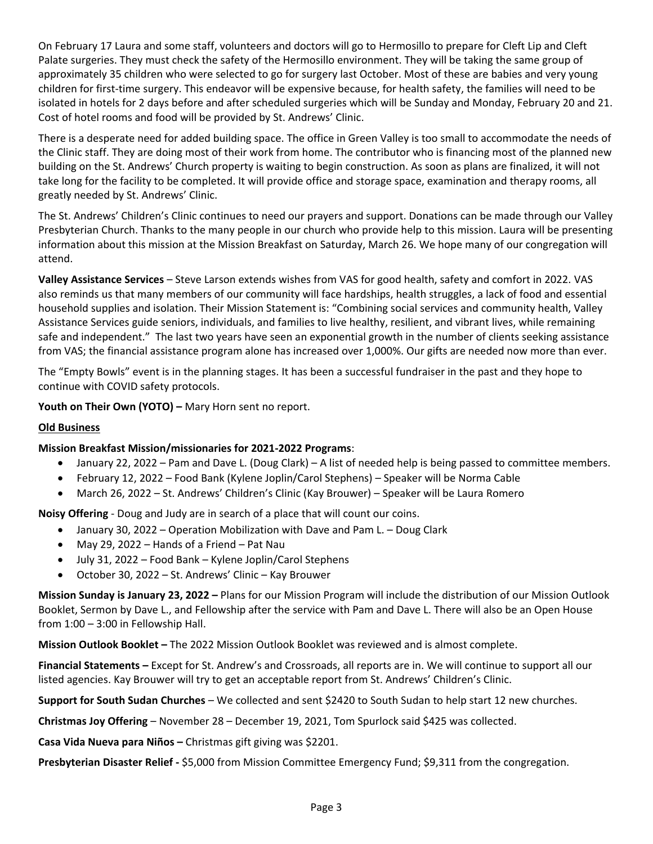On February 17 Laura and some staff, volunteers and doctors will go to Hermosillo to prepare for Cleft Lip and Cleft Palate surgeries. They must check the safety of the Hermosillo environment. They will be taking the same group of approximately 35 children who were selected to go for surgery last October. Most of these are babies and very young children for first-time surgery. This endeavor will be expensive because, for health safety, the families will need to be isolated in hotels for 2 days before and after scheduled surgeries which will be Sunday and Monday, February 20 and 21. Cost of hotel rooms and food will be provided by St. Andrews' Clinic.

There is a desperate need for added building space. The office in Green Valley is too small to accommodate the needs of the Clinic staff. They are doing most of their work from home. The contributor who is financing most of the planned new building on the St. Andrews' Church property is waiting to begin construction. As soon as plans are finalized, it will not take long for the facility to be completed. It will provide office and storage space, examination and therapy rooms, all greatly needed by St. Andrews' Clinic.

The St. Andrews' Children's Clinic continues to need our prayers and support. Donations can be made through our Valley Presbyterian Church. Thanks to the many people in our church who provide help to this mission. Laura will be presenting information about this mission at the Mission Breakfast on Saturday, March 26. We hope many of our congregation will attend.

**Valley Assistance Services** – Steve Larson extends wishes from VAS for good health, safety and comfort in 2022. VAS also reminds us that many members of our community will face hardships, health struggles, a lack of food and essential household supplies and isolation. Their Mission Statement is: "Combining social services and community health, Valley Assistance Services guide seniors, individuals, and families to live healthy, resilient, and vibrant lives, while remaining safe and independent." The last two years have seen an exponential growth in the number of clients seeking assistance from VAS; the financial assistance program alone has increased over 1,000%. Our gifts are needed now more than ever.

The "Empty Bowls" event is in the planning stages. It has been a successful fundraiser in the past and they hope to continue with COVID safety protocols.

**Youth on Their Own (YOTO) –** Mary Horn sent no report.

## **Old Business**

### **Mission Breakfast Mission/missionaries for 2021-2022 Programs**:

- January 22, 2022 Pam and Dave L. (Doug Clark) A list of needed help is being passed to committee members.
- February 12, 2022 Food Bank (Kylene Joplin/Carol Stephens) Speaker will be Norma Cable
- March 26, 2022 St. Andrews' Children's Clinic (Kay Brouwer) Speaker will be Laura Romero

**Noisy Offering** - Doug and Judy are in search of a place that will count our coins.

- January 30, 2022 Operation Mobilization with Dave and Pam L. Doug Clark
- May 29, 2022 Hands of a Friend Pat Nau
- July 31, 2022 Food Bank Kylene Joplin/Carol Stephens
- October 30, 2022 St. Andrews' Clinic Kay Brouwer

**Mission Sunday is January 23, 2022 –** Plans for our Mission Program will include the distribution of our Mission Outlook Booklet, Sermon by Dave L., and Fellowship after the service with Pam and Dave L. There will also be an Open House from 1:00 – 3:00 in Fellowship Hall.

**Mission Outlook Booklet –** The 2022 Mission Outlook Booklet was reviewed and is almost complete.

**Financial Statements –** Except for St. Andrew's and Crossroads, all reports are in. We will continue to support all our listed agencies. Kay Brouwer will try to get an acceptable report from St. Andrews' Children's Clinic.

**Support for South Sudan Churches** – We collected and sent \$2420 to South Sudan to help start 12 new churches.

**Christmas Joy Offering** – November 28 – December 19, 2021, Tom Spurlock said \$425 was collected.

**Casa Vida Nueva para Niños –** Christmas gift giving was \$2201.

**Presbyterian Disaster Relief -** \$5,000 from Mission Committee Emergency Fund; \$9,311 from the congregation.